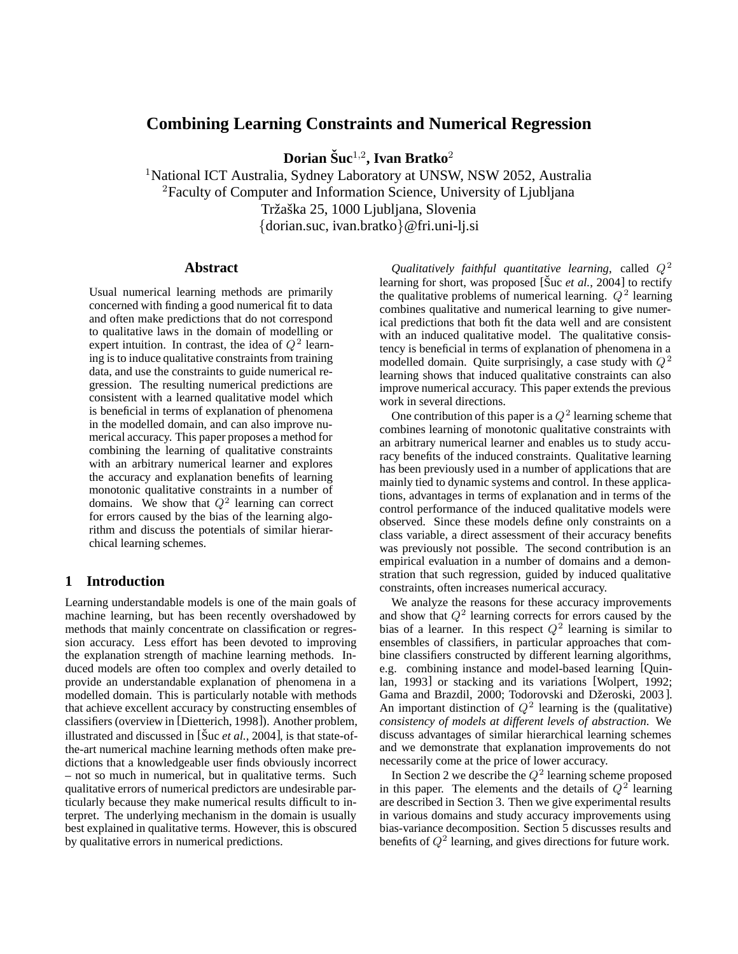## **Combining Learning Constraints and Numerical Regression**

**Dorian Suc ˇ** <sup>1</sup>*,*<sup>2</sup>**, Ivan Bratko**<sup>2</sup>

<sup>1</sup>National ICT Australia, Sydney Laboratory at UNSW, NSW 2052, Australia <sup>2</sup>Faculty of Computer and Information Science, University of Ljubljana Tržaška 25, 1000 Ljubljana, Slovenia {dorian.suc, ivan.bratko}@fri.uni-lj.si

#### **Abstract**

Usual numerical learning methods are primarily concerned with finding a good numerical fit to data and often make predictions that do not correspond to qualitative laws in the domain of modelling or expert intuition. In contrast, the idea of  $Q^2$  learning is to induce qualitative constraints from training data, and use the constraints to guide numerical regression. The resulting numerical predictions are consistent with a learned qualitative model which is beneficial in terms of explanation of phenomena in the modelled domain, and can also improve numerical accuracy. This paper proposes a method for combining the learning of qualitative constraints with an arbitrary numerical learner and explores the accuracy and explanation benefits of learning monotonic qualitative constraints in a number of domains. We show that  $Q^2$  learning can correct for errors caused by the bias of the learning algorithm and discuss the potentials of similar hierarchical learning schemes.

### **1 Introduction**

Learning understandable models is one of the main goals of machine learning, but has been recently overshadowed by methods that mainly concentrate on classification or regression accuracy. Less effort has been devoted to improving the explanation strength of machine learning methods. Induced models are often too complex and overly detailed to provide an understandable explanation of phenomena in a modelled domain. This is particularly notable with methods that achieve excellent accuracy by constructing ensembles of classifiers (overview in [Dietterich, 1998]). Another problem, illustrated and discussed in  $[\text{Suc } et al., 2004]$ , is that state-ofthe-art numerical machine learning methods often make predictions that a knowledgeable user finds obviously incorrect – not so much in numerical, but in qualitative terms. Such qualitative errors of numerical predictors are undesirable particularly because they make numerical results difficult to interpret. The underlying mechanism in the domain is usually best explained in qualitative terms. However, this is obscured by qualitative errors in numerical predictions.

*Qualitatively faithful quantitative learning*, called  $Q^2$ learning for short, was proposed [Suc *et al.*, 2004] to rectify the qualitative problems of numerical learning.  $Q^2$  learning combines qualitative and numerical learning to give numerical predictions that both fit the data well and are consistent with an induced qualitative model. The qualitative consistency is beneficial in terms of explanation of phenomena in a modelled domain. Quite surprisingly, a case study with  $Q^2$ learning shows that induced qualitative constraints can also improve numerical accuracy. This paper extends the previous work in several directions.

One contribution of this paper is a  $Q^2$  learning scheme that combines learning of monotonic qualitative constraints with an arbitrary numerical learner and enables us to study accuracy benefits of the induced constraints. Qualitative learning has been previously used in a number of applications that are mainly tied to dynamic systems and control. In these applications, advantages in terms of explanation and in terms of the control performance of the induced qualitative models were observed. Since these models define only constraints on a class variable, a direct assessment of their accuracy benefits was previously not possible. The second contribution is an empirical evaluation in a number of domains and a demonstration that such regression, guided by induced qualitative constraints, often increases numerical accuracy.

We analyze the reasons for these accuracy improvements and show that  $Q^2$  learning corrects for errors caused by the bias of a learner. In this respect  $Q^2$  learning is similar to ensembles of classifiers, in particular approaches that combine classifiers constructed by different learning algorithms, e.g. combining instance and model-based learning [Quinlan, 1993] or stacking and its variations [Wolpert, 1992; Gama and Brazdil, 2000; Todorovski and Džeroski, 2003]. An important distinction of  $Q^2$  learning is the (qualitative) *consistency of models at different levels of abstraction*. We discuss advantages of similar hierarchical learning schemes and we demonstrate that explanation improvements do not necessarily come at the price of lower accuracy.

In Section 2 we describe the  $Q^2$  learning scheme proposed in this paper. The elements and the details of  $Q^2$  learning are described in Section 3. Then we give experimental results in various domains and study accuracy improvements using bias-variance decomposition. Section 5 discusses results and benefits of  $Q^2$  learning, and gives directions for future work.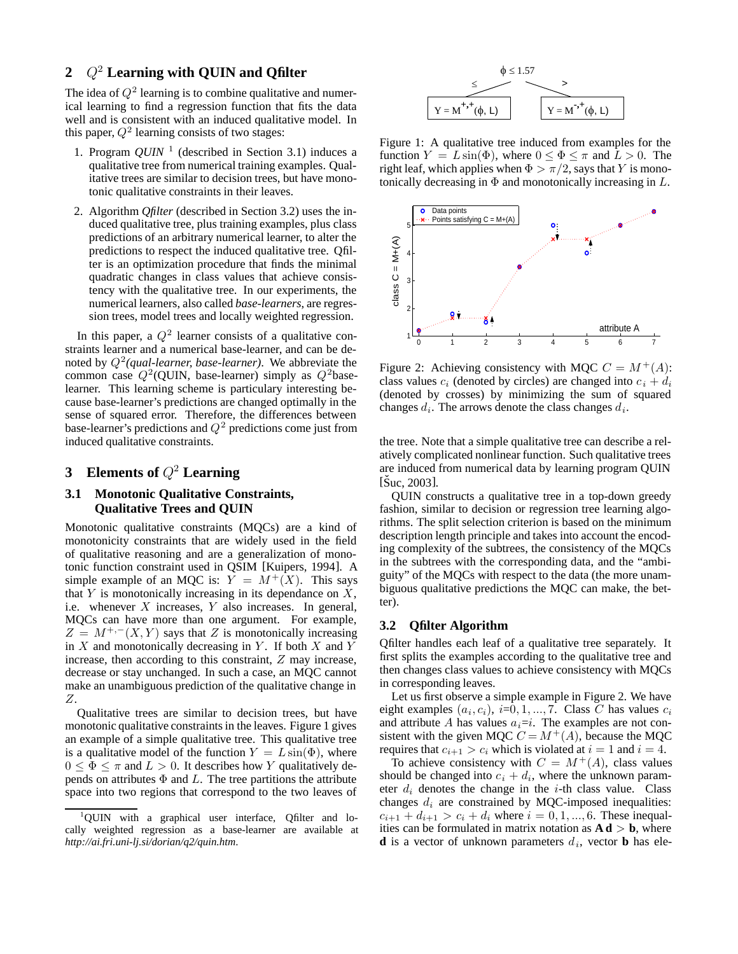## **2** *Q*<sup>2</sup> **Learning with QUIN and Qfilter**

The idea of  $Q^2$  learning is to combine qualitative and numerical learning to find a regression function that fits the data well and is consistent with an induced qualitative model. In this paper,  $Q^2$  learning consists of two stages:

- 1. Program  $QUIN$ <sup>1</sup> (described in Section 3.1) induces a qualitative tree from numerical training examples. Qualitative trees are similar to decision trees, but have monotonic qualitative constraints in their leaves.
- 2. Algorithm *Qfilter* (described in Section 3.2) uses the induced qualitative tree, plus training examples, plus class predictions of an arbitrary numerical learner, to alter the predictions to respect the induced qualitative tree. Qfilter is an optimization procedure that finds the minimal quadratic changes in class values that achieve consistency with the qualitative tree. In our experiments, the numerical learners, also called *base-learners*, are regression trees, model trees and locally weighted regression.

In this paper, a  $Q^2$  learner consists of a qualitative constraints learner and a numerical base-learner, and can be denoted by  $Q^2$ *(qual-learner, base-learner)*. We abbreviate the common case  $Q^2$ (QUIN, base-learner) simply as  $Q^2$ baselearner. This learning scheme is particulary interesting because base-learner's predictions are changed optimally in the sense of squared error. Therefore, the differences between base-learner's predictions and  $Q^2$  predictions come just from induced qualitative constraints.

# **3 Elements of** *Q*<sup>2</sup> **Learning**

## **3.1 Monotonic Qualitative Constraints, Qualitative Trees and QUIN**

Monotonic qualitative constraints (MQCs) are a kind of monotonicity constraints that are widely used in the field of qualitative reasoning and are a generalization of monotonic function constraint used in QSIM [Kuipers, 1994]. A simple example of an MQC is:  $Y = M^+(X)$ . This says that  $Y$  is monotonically increasing in its dependance on  $X$ , i.e. whenever  $X$  increases,  $Y$  also increases. In general, MQCs can have more than one argument. For example,  $Z = M^{+,-}(X, Y)$  says that Z is monotonically increasing in  $X$  and monotonically decreasing in Y. If both  $X$  and Y increase, then according to this constraint, Z may increase, decrease or stay unchanged. In such a case, an MQC cannot make an unambiguous prediction of the qualitative change in Z.

Qualitative trees are similar to decision trees, but have monotonic qualitative constraints in the leaves. Figure 1 gives an example of a simple qualitative tree. This qualitative tree is a qualitative model of the function  $Y = L \sin(\Phi)$ , where  $0 \leq \Phi \leq \pi$  and  $L > 0$ . It describes how Y qualitatively depends on attributes  $\Phi$  and L. The tree partitions the attribute space into two regions that correspond to the two leaves of



Figure 1: A qualitative tree induced from examples for the function  $Y = L \sin(\Phi)$ , where  $0 \le \Phi \le \pi$  and  $L > 0$ . The right leaf, which applies when  $\Phi > \pi/2$ , says that Y is monotonically decreasing in  $\Phi$  and monotonically increasing in  $L$ .



Figure 2: Achieving consistency with MQC  $C = M^+(A)$ : class values  $c_i$  (denoted by circles) are changed into  $c_i + d_i$ (denoted by crosses) by minimizing the sum of squared changes  $d_i$ . The arrows denote the class changes  $d_i$ .

the tree. Note that a simple qualitative tree can describe a relatively complicated nonlinear function. Such qualitative trees are induced from numerical data by learning program QUIN  $[\text{Suc}, 2003]$ .

QUIN constructs a qualitative tree in a top-down greedy fashion, similar to decision or regression tree learning algorithms. The split selection criterion is based on the minimum description length principle and takes into account the encoding complexity of the subtrees, the consistency of the MQCs in the subtrees with the corresponding data, and the "ambiguity" of the MQCs with respect to the data (the more unambiguous qualitative predictions the MQC can make, the better).

#### **3.2 Qfilter Algorithm**

Qfilter handles each leaf of a qualitative tree separately. It first splits the examples according to the qualitative tree and then changes class values to achieve consistency with MQCs in corresponding leaves.

Let us first observe a simple example in Figure 2. We have eight examples  $(a_i, c_i)$ ,  $i=0, 1, ..., 7$ . Class C has values  $c_i$ and attribute A has values  $a_i=i$ . The examples are not consistent with the given MQC  $C = M^+(A)$ , because the MQC requires that  $c_{i+1} > c_i$  which is violated at  $i = 1$  and  $i = 4$ .

To achieve consistency with  $C = M^+(A)$ , class values should be changed into  $c_i + d_i$ , where the unknown parameter  $d_i$  denotes the change in the *i*-th class value. Class changes  $d_i$  are constrained by MQC-imposed inequalities:  $c_{i+1} + d_{i+1} > c_i + d_i$  where  $i = 0, 1, ..., 6$ . These inequalities can be formulated in matrix notation as  $A \, d > b$ , where **d** is a vector of unknown parameters  $d_i$ , vector **b** has ele-

<sup>&</sup>lt;sup>1</sup>QUIN with a graphical user interface, Qfilter and locally weighted regression as a base-learner are available at *http://ai.fri.uni-lj.si/dorian/q2/quin.htm*.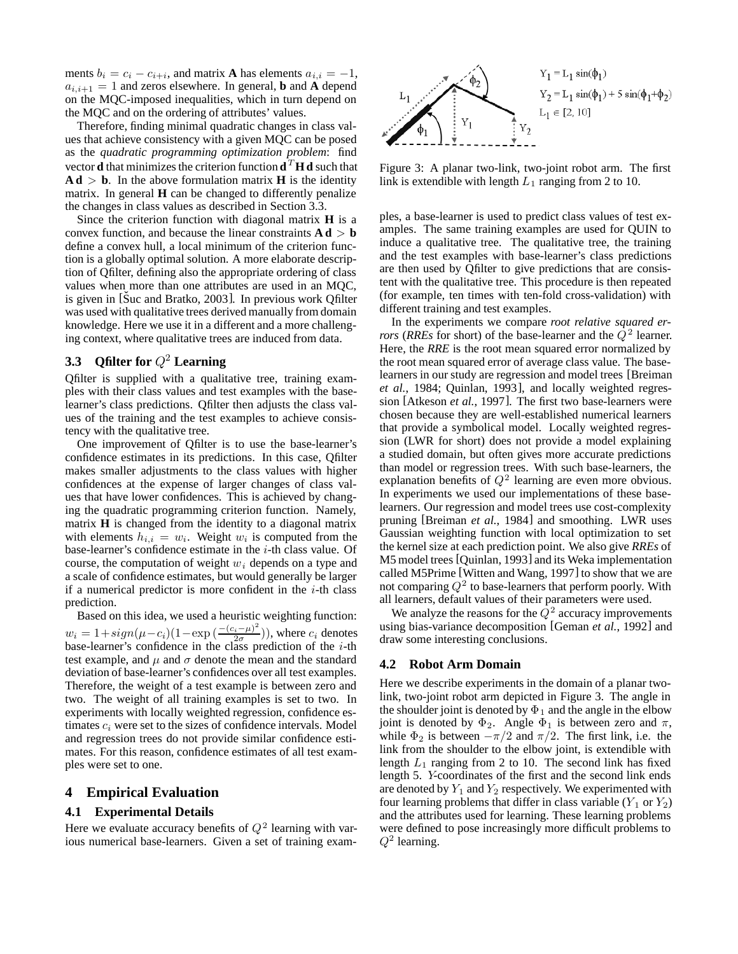ments  $b_i = c_i - c_{i+i}$ , and matrix **A** has elements  $a_{i,i} = -1$ ,  $a_{i,i+1} = 1$  and zeros elsewhere. In general, **b** and **A** depend on the MQC-imposed inequalities, which in turn depend on the MQC and on the ordering of attributes' values.

Therefore, finding minimal quadratic changes in class values that achieve consistency with a given MQC can be posed as the *quadratic programming optimization problem*: find vector **d** that minimizes the criterion function  $\mathbf{d}^T \mathbf{H} \mathbf{d}$  such that  $\mathbf{A} \mathbf{d} > \mathbf{b}$ . In the above formulation matrix **H** is the identity matrix. In general **H** can be changed to differently penalize the changes in class values as described in Section 3.3.

Since the criterion function with diagonal matrix **H** is a convex function, and because the linear constraints  $\mathbf{A} \mathbf{d} > \mathbf{b}$ define a convex hull, a local minimum of the criterion function is a globally optimal solution. A more elaborate description of Qfilter, defining also the appropriate ordering of class values when more than one attributes are used in an MQC, is given in  $[\text{Suc and Bratko}, 2003]$ . In previous work Qfilter was used with qualitative trees derived manually from domain knowledge. Here we use it in a different and a more challenging context, where qualitative trees are induced from data.

## **3.3** Qfilter for  $Q^2$  Learning

Qfilter is supplied with a qualitative tree, training examples with their class values and test examples with the baselearner's class predictions. Qfilter then adjusts the class values of the training and the test examples to achieve consistency with the qualitative tree.

One improvement of Qfilter is to use the base-learner's confidence estimates in its predictions. In this case, Qfilter makes smaller adjustments to the class values with higher confidences at the expense of larger changes of class values that have lower confidences. This is achieved by changing the quadratic programming criterion function. Namely, matrix **H** is changed from the identity to a diagonal matrix with elements  $h_{i,i} = w_i$ . Weight  $w_i$  is computed from the base-learner's confidence estimate in the  $i$ -th class value. Of course, the computation of weight  $w_i$  depends on a type and a scale of confidence estimates, but would generally be larger if a numerical predictor is more confident in the  $i$ -th class prediction.

Based on this idea, we used a heuristic weighting function:  $w_i = 1 + sign(\mu - c_i)(1 - \exp\left(\frac{-(c_i - \mu)^2}{2\sigma}\right))$ , where  $c_i$  denotes base-learner's confidence in the class prediction of the  $i$ -th test example, and  $\mu$  and  $\sigma$  denote the mean and the standard deviation of base-learner's confidences over all test examples. Therefore, the weight of a test example is between zero and two. The weight of all training examples is set to two. In experiments with locally weighted regression, confidence estimates  $c_i$  were set to the sizes of confidence intervals. Model and regression trees do not provide similar confidence estimates. For this reason, confidence estimates of all test examples were set to one.

#### **4 Empirical Evaluation**

#### **4.1 Experimental Details**

Here we evaluate accuracy benefits of  $Q^2$  learning with various numerical base-learners. Given a set of training exam-



Figure 3: A planar two-link, two-joint robot arm. The first link is extendible with length  $L_1$  ranging from 2 to 10.

ples, a base-learner is used to predict class values of test examples. The same training examples are used for QUIN to induce a qualitative tree. The qualitative tree, the training and the test examples with base-learner's class predictions are then used by Qfilter to give predictions that are consistent with the qualitative tree. This procedure is then repeated (for example, ten times with ten-fold cross-validation) with different training and test examples.

In the experiments we compare *root relative squared errors* (*RREs* for short) of the base-learner and the  $Q^2$  learner. Here, the *RRE* is the root mean squared error normalized by the root mean squared error of average class value. The baselearners in our study are regression and model trees [Breiman *et al.*, 1984; Quinlan, 1993], and locally weighted regression [Atkeson *et al.*, 1997]. The first two base-learners were chosen because they are well-established numerical learners that provide a symbolical model. Locally weighted regression (LWR for short) does not provide a model explaining a studied domain, but often gives more accurate predictions than model or regression trees. With such base-learners, the explanation benefits of  $Q^2$  learning are even more obvious. In experiments we used our implementations of these baselearners. Our regression and model trees use cost-complexity pruning [Breiman *et al.*, 1984] and smoothing. LWR uses Gaussian weighting function with local optimization to set the kernel size at each prediction point. We also give *RREs* of M5 model trees [Quinlan, 1993] and its Weka implementation called M5Prime [Witten and Wang, 1997] to show that we are not comparing  $Q^2$  to base-learners that perform poorly. With all learners, default values of their parameters were used.

We analyze the reasons for the  $Q^2$  accuracy improvements using bias-variance decomposition [Geman *et al.*, 1992] and draw some interesting conclusions.

#### **4.2 Robot Arm Domain**

Here we describe experiments in the domain of a planar twolink, two-joint robot arm depicted in Figure 3. The angle in the shoulder joint is denoted by  $\Phi_1$  and the angle in the elbow joint is denoted by  $\Phi_2$ . Angle  $\Phi_1$  is between zero and  $\pi$ , while  $\Phi_2$  is between  $-\pi/2$  and  $\pi/2$ . The first link, i.e. the link from the shoulder to the elbow joint, is extendible with length  $L_1$  ranging from 2 to 10. The second link has fixed length 5. Y-coordinates of the first and the second link ends are denoted by  $Y_1$  and  $Y_2$  respectively. We experimented with four learning problems that differ in class variable  $(Y_1 \text{ or } Y_2)$ and the attributes used for learning. These learning problems were defined to pose increasingly more difficult problems to  $Q^2$  learning.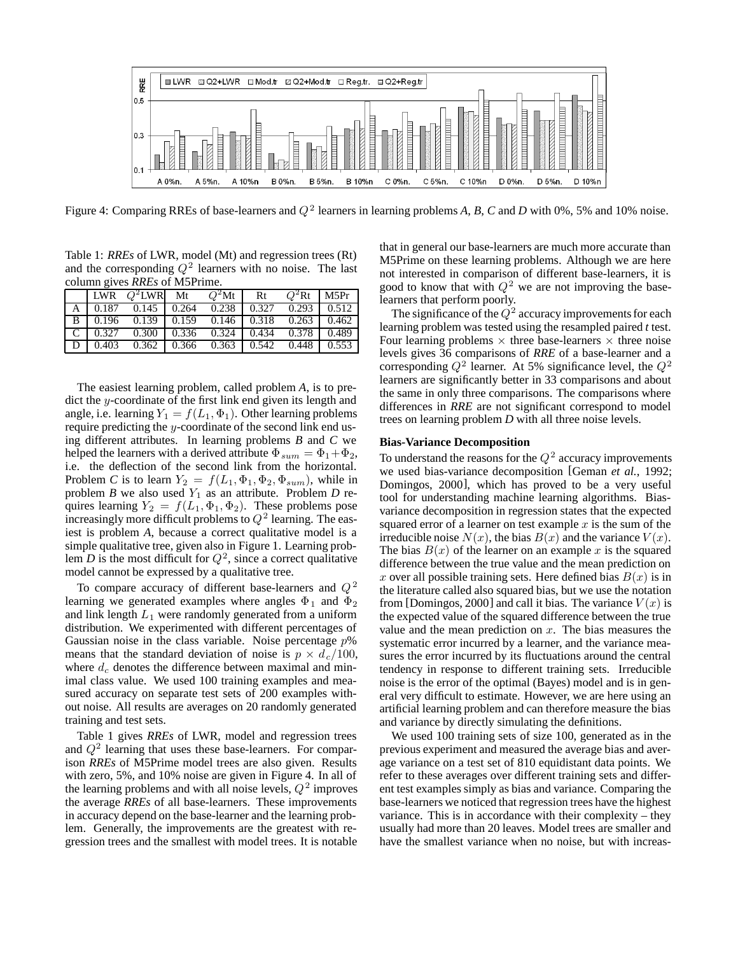

Figure 4: Comparing RREs of base-learners and  $Q^2$  learners in learning problems A, B, C and D with 0%, 5% and 10% noise.

Table 1: *RREs* of LWR, model (Mt) and regression trees (Rt) and the corresponding  $Q^2$  learners with no noise. The last column gives *RREs* of M5Prime.

|  | LWR $O^2$ LWR Mt                                                                    | $Q^2$ Mt   Rt | $Q^2$ Rt   M5Pr |  |
|--|-------------------------------------------------------------------------------------|---------------|-----------------|--|
|  | A   0.187 0.145   0.264 0.238   0.327 0.293   0.512                                 |               |                 |  |
|  | B 0.196 0.139 0.159 0.146 0.318 0.263 0.462                                         |               |                 |  |
|  | C   0.327 0.300   0.336 $\overline{0.324}$   0.434 0.378   0.489                    |               |                 |  |
|  | $D \mid 0.403 \quad 0.362 \mid 0.366 \quad 0.363 \mid 0.542 \quad 0.448 \mid 0.553$ |               |                 |  |

The easiest learning problem, called problem *A*, is to predict the y-coordinate of the first link end given its length and angle, i.e. learning  $Y_1 = f(L_1, \Phi_1)$ . Other learning problems require predicting the y-coordinate of the second link end using different attributes. In learning problems *B* and *C* we helped the learners with a derived attribute  $\Phi_{sum} = \Phi_1 + \Phi_2$ , i.e. the deflection of the second link from the horizontal. Problem *C* is to learn  $Y_2 = f(L_1, \Phi_1, \Phi_2, \Phi_{sum})$ , while in problem *B* we also used  $Y_1$  as an attribute. Problem *D* requires learning  $Y_2 = f(L_1, \Phi_1, \Phi_2)$ . These problems pose increasingly more difficult problems to  $Q^2$  learning. The easiest is problem *A*, because a correct qualitative model is a simple qualitative tree, given also in Figure 1. Learning problem *D* is the most difficult for  $Q^2$ , since a correct qualitative model cannot be expressed by a qualitative tree.

To compare accuracy of different base-learners and  $Q^2$ learning we generated examples where angles  $\Phi_1$  and  $\Phi_2$ and link length  $L_1$  were randomly generated from a uniform distribution. We experimented with different percentages of Gaussian noise in the class variable. Noise percentage  $p$ % means that the standard deviation of noise is  $p \times d_c/100$ , where  $d_c$  denotes the difference between maximal and minimal class value. We used 100 training examples and measured accuracy on separate test sets of 200 examples without noise. All results are averages on 20 randomly generated training and test sets.

Table 1 gives *RREs* of LWR, model and regression trees and  $Q^2$  learning that uses these base-learners. For comparison *RREs* of M5Prime model trees are also given. Results with zero, 5%, and 10% noise are given in Figure 4. In all of the learning problems and with all noise levels,  $Q^2$  improves the average *RREs* of all base-learners. These improvements in accuracy depend on the base-learner and the learning problem. Generally, the improvements are the greatest with regression trees and the smallest with model trees. It is notable that in general our base-learners are much more accurate than M5Prime on these learning problems. Although we are here not interested in comparison of different base-learners, it is good to know that with  $Q^2$  we are not improving the baselearners that perform poorly.

The significance of the  $Q^2$  accuracy improvements for each learning problem was tested using the resampled paired *t* test. Four learning problems  $\times$  three base-learners  $\times$  three noise levels gives 36 comparisons of *RRE* of a base-learner and a corresponding  $Q^2$  learner. At 5% significance level, the  $Q^2$ learners are significantly better in 33 comparisons and about the same in only three comparisons. The comparisons where differences in *RRE* are not significant correspond to model trees on learning problem *D* with all three noise levels.

#### **Bias-Variance Decomposition**

To understand the reasons for the  $Q^2$  accuracy improvements we used bias-variance decomposition [Geman *et al.*, 1992; Domingos, 2000], which has proved to be a very useful tool for understanding machine learning algorithms. Biasvariance decomposition in regression states that the expected squared error of a learner on test example  $x$  is the sum of the irreducible noise  $N(x)$ , the bias  $B(x)$  and the variance  $V(x)$ . The bias  $B(x)$  of the learner on an example x is the squared difference between the true value and the mean prediction on x over all possible training sets. Here defined bias  $B(x)$  is in the literature called also squared bias, but we use the notation from [Domingos, 2000] and call it bias. The variance  $V(x)$  is the expected value of the squared difference between the true value and the mean prediction on  $x$ . The bias measures the systematic error incurred by a learner, and the variance measures the error incurred by its fluctuations around the central tendency in response to different training sets. Irreducible noise is the error of the optimal (Bayes) model and is in general very difficult to estimate. However, we are here using an artificial learning problem and can therefore measure the bias and variance by directly simulating the definitions.

We used 100 training sets of size 100, generated as in the previous experiment and measured the average bias and average variance on a test set of 810 equidistant data points. We refer to these averages over different training sets and different test examples simply as bias and variance. Comparing the base-learners we noticed that regression trees have the highest variance. This is in accordance with their complexity – they usually had more than 20 leaves. Model trees are smaller and have the smallest variance when no noise, but with increas-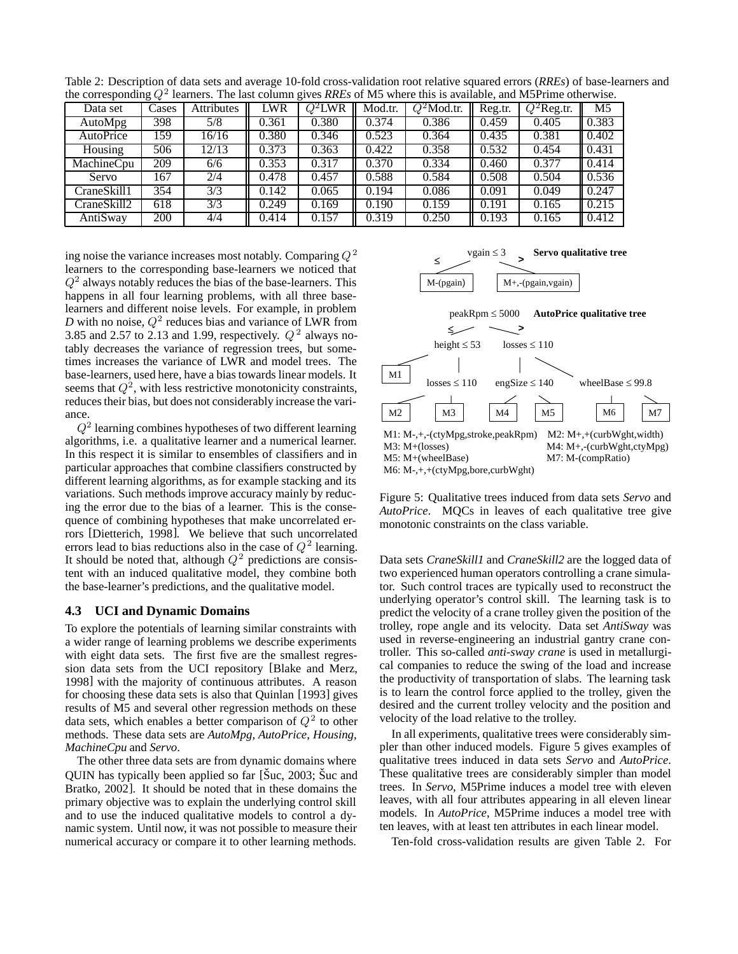| $\frac{1}{2}$ and $\frac{1}{2}$ and $\frac{1}{2}$ and $\frac{1}{2}$<br>reaments. The not consum gives hings of the where and is available, and their finite value where |       |            |       |           |         |               |         |               |       |  |  |  |
|-------------------------------------------------------------------------------------------------------------------------------------------------------------------------|-------|------------|-------|-----------|---------|---------------|---------|---------------|-------|--|--|--|
| Data set                                                                                                                                                                | Cases | Attributes | LWR   | $O^2$ LWR | Mod.tr. | $Q^2$ Mod.tr. | Reg.tr. | $Q^2$ Reg.tr. | M5    |  |  |  |
| <b>AutoMpg</b>                                                                                                                                                          | 398   | 5/8        | 0.361 | 0.380     | 0.374   | 0.386         | 0.459   | 0.405         | 0.383 |  |  |  |
| AutoPrice                                                                                                                                                               | 159   | 16/16      | 0.380 | 0.346     | 0.523   | 0.364         | 0.435   | 0.381         | 0.402 |  |  |  |
| Housing                                                                                                                                                                 | 506   | 12/13      | 0.373 | 0.363     | 0.422   | 0.358         | 0.532   | 0.454         | 0.431 |  |  |  |
| MachineCpu                                                                                                                                                              | 209   | 6/6        | 0.353 | 0.317     | 0.370   | 0.334         | 0.460   | 0.377         | 0.414 |  |  |  |
| Servo                                                                                                                                                                   | 167   | 2/4        | 0.478 | 0.457     | 0.588   | 0.584         | 0.508   | 0.504         | 0.536 |  |  |  |
| CraneSkill1                                                                                                                                                             | 354   | 3/3        | 0.142 | 0.065     | 0.194   | 0.086         | 0.091   | 0.049         | 0.247 |  |  |  |
| CraneSkill2                                                                                                                                                             | 618   | 3/3        | 0.249 | 0.169     | 0.190   | 0.159         | 0.191   | 0.165         | 0.215 |  |  |  |
| AntiSway                                                                                                                                                                | 200   | 4/4        | 0.414 | 0.157     | 0.319   | 0.250         | 0.193   | 0.165         | 0.412 |  |  |  |

Table 2: Description of data sets and average 10-fold cross-validation root relative squared errors (*RREs*) of base-learners and the corresponding  $O^2$  learners. The last column gives *RREs* of M5 where this is available, and M5Prime otherwise.

ing noise the variance increases most notably. Comparing  $Q^2$ learners to the corresponding base-learners we noticed that  $Q<sup>2</sup>$  always notably reduces the bias of the base-learners. This happens in all four learning problems, with all three baselearners and different noise levels. For example, in problem *D* with no noise,  $Q^2$  reduces bias and variance of LWR from 3.85 and 2.57 to 2.13 and 1.99, respectively.  $Q^2$  always notably decreases the variance of regression trees, but sometimes increases the variance of LWR and model trees. The base-learners, used here, have a bias towards linear models. It seems that  $Q^2$ , with less restrictive monotonicity constraints, reduces their bias, but does not considerably increase the variance.

 $Q<sup>2</sup>$  learning combines hypotheses of two different learning algorithms, i.e. a qualitative learner and a numerical learner. In this respect it is similar to ensembles of classifiers and in particular approaches that combine classifiers constructed by different learning algorithms, as for example stacking and its variations. Such methods improve accuracy mainly by reducing the error due to the bias of a learner. This is the consequence of combining hypotheses that make uncorrelated errors [Dietterich, 1998]. We believe that such uncorrelated errors lead to bias reductions also in the case of  $Q^2$  learning. It should be noted that, although  $Q^2$  predictions are consistent with an induced qualitative model, they combine both the base-learner's predictions, and the qualitative model.

#### **4.3 UCI and Dynamic Domains**

To explore the potentials of learning similar constraints with a wider range of learning problems we describe experiments with eight data sets. The first five are the smallest regression data sets from the UCI repository [Blake and Merz, 1998] with the majority of continuous attributes. A reason for choosing these data sets is also that Quinlan [1993] gives results of M5 and several other regression methods on these data sets, which enables a better comparison of  $Q^2$  to other methods. These data sets are *AutoMpg*, *AutoPrice*, *Housing*, *MachineCpu* and *Servo*.

The other three data sets are from dynamic domains where QUIN has typically been applied so far  $[\text{\r{Suc}}, 2003; \text{\r{Suc}}]$  and Bratko, 2002]. It should be noted that in these domains the primary objective was to explain the underlying control skill and to use the induced qualitative models to control a dynamic system. Until now, it was not possible to measure their numerical accuracy or compare it to other learning methods.



Figure 5: Qualitative trees induced from data sets *Servo* and *AutoPrice*. MQCs in leaves of each qualitative tree give monotonic constraints on the class variable.

Data sets *CraneSkill1* and *CraneSkill2* are the logged data of two experienced human operators controlling a crane simulator. Such control traces are typically used to reconstruct the underlying operator's control skill. The learning task is to predict the velocity of a crane trolley given the position of the trolley, rope angle and its velocity. Data set *AntiSway* was used in reverse-engineering an industrial gantry crane controller. This so-called *anti-sway crane* is used in metallurgical companies to reduce the swing of the load and increase the productivity of transportation of slabs. The learning task is to learn the control force applied to the trolley, given the desired and the current trolley velocity and the position and velocity of the load relative to the trolley.

In all experiments, qualitative trees were considerably simpler than other induced models. Figure 5 gives examples of qualitative trees induced in data sets *Servo* and *AutoPrice*. These qualitative trees are considerably simpler than model trees. In *Servo*, M5Prime induces a model tree with eleven leaves, with all four attributes appearing in all eleven linear models. In *AutoPrice*, M5Prime induces a model tree with ten leaves, with at least ten attributes in each linear model.

Ten-fold cross-validation results are given Table 2. For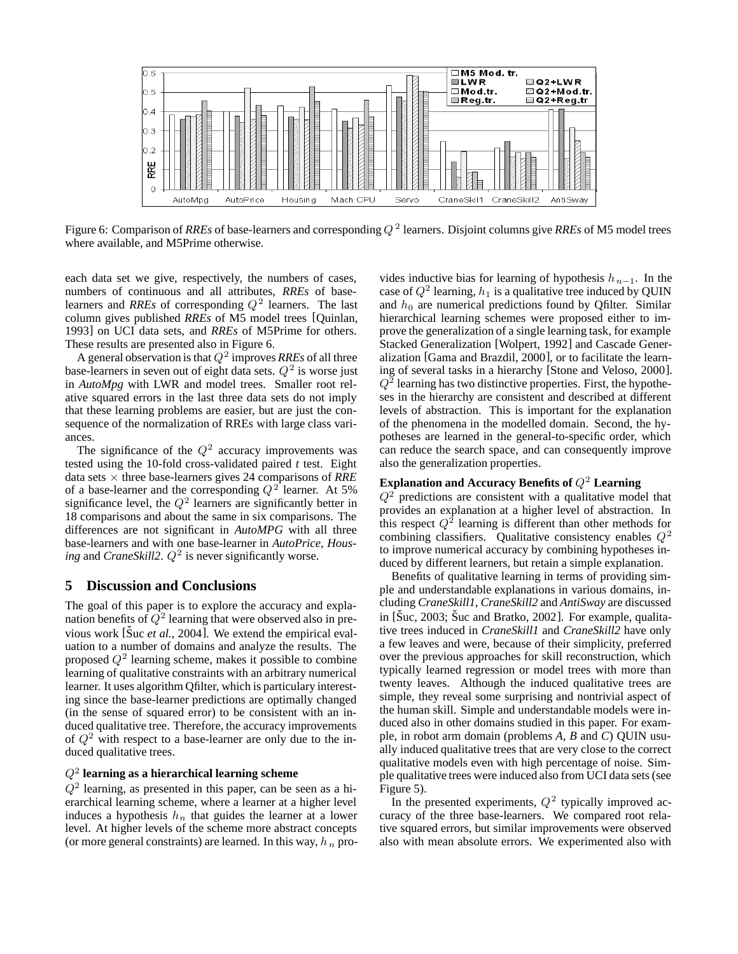

Figure 6: Comparison of *RREs* of base-learners and corresponding Q <sup>2</sup> learners. Disjoint columns give *RREs* of M5 model trees where available, and M5Prime otherwise.

each data set we give, respectively, the numbers of cases, numbers of continuous and all attributes, *RREs* of baselearners and *RREs* of corresponding  $Q^2$  learners. The last column gives published *RREs* of M5 model trees [Quinlan, 1993] on UCI data sets, and *RREs* of M5Prime for others. These results are presented also in Figure 6.

A general observation is that  $Q^2$  improves *RREs* of all three base-learners in seven out of eight data sets.  $Q^2$  is worse just in *AutoMpg* with LWR and model trees. Smaller root relative squared errors in the last three data sets do not imply that these learning problems are easier, but are just the consequence of the normalization of RREs with large class variances.

The significance of the  $Q^2$  accuracy improvements was tested using the 10-fold cross-validated paired *t* test. Eight data sets × three base-learners gives 24 comparisons of *RRE* of a base-learner and the corresponding  $Q^2$  learner. At 5% significance level, the  $Q^2$  learners are significantly better in 18 comparisons and about the same in six comparisons. The differences are not significant in *AutoMPG* with all three base-learners and with one base-learner in *AutoPrice*, *Housing* and *CraneSkill2*.  $Q^2$  is never significantly worse.

## **5 Discussion and Conclusions**

The goal of this paper is to explore the accuracy and explanation benefits of  $\tilde{Q}^2$  learning that were observed also in previous work [Suc *et al.*, 2004]. We extend the empirical evaluation to a number of domains and analyze the results. The proposed  $Q^2$  learning scheme, makes it possible to combine learning of qualitative constraints with an arbitrary numerical learner. It uses algorithm Qfilter, which is particulary interesting since the base-learner predictions are optimally changed (in the sense of squared error) to be consistent with an induced qualitative tree. Therefore, the accuracy improvements of  $Q^2$  with respect to a base-learner are only due to the induced qualitative trees.

## Q<sup>2</sup> **learning as a hierarchical learning scheme**

 $Q<sup>2</sup>$  learning, as presented in this paper, can be seen as a hierarchical learning scheme, where a learner at a higher level induces a hypothesis  $h_n$  that guides the learner at a lower level. At higher levels of the scheme more abstract concepts (or more general constraints) are learned. In this way,  $h_n$  provides inductive bias for learning of hypothesis  $h_{n-1}$ . In the case of  $Q^2$  learning,  $h_1$  is a qualitative tree induced by QUIN and  $h_0$  are numerical predictions found by Qfilter. Similar hierarchical learning schemes were proposed either to improve the generalization of a single learning task, for example Stacked Generalization [Wolpert, 1992] and Cascade Generalization [Gama and Brazdil, 2000], or to facilitate the learning of several tasks in a hierarchy [Stone and Veloso, 2000].  $Q<sup>2</sup>$  learning has two distinctive properties. First, the hypotheses in the hierarchy are consistent and described at different levels of abstraction. This is important for the explanation of the phenomena in the modelled domain. Second, the hypotheses are learned in the general-to-specific order, which can reduce the search space, and can consequently improve also the generalization properties.

## **Explanation and Accuracy Benefits of** Q<sup>2</sup> **Learning**

 $Q<sup>2</sup>$  predictions are consistent with a qualitative model that provides an explanation at a higher level of abstraction. In this respect  $Q^2$  learning is different than other methods for combining classifiers. Qualitative consistency enables  $Q^2$ to improve numerical accuracy by combining hypotheses induced by different learners, but retain a simple explanation.

Benefits of qualitative learning in terms of providing simple and understandable explanations in various domains, including *CraneSkill1*, *CraneSkill2* and *AntiSway* are discussed in  $[\text{Suc}, 2003; \text{Suc}$  and Bratko, 2002]. For example, qualitative trees induced in *CraneSkill1* and *CraneSkill2* have only a few leaves and were, because of their simplicity, preferred over the previous approaches for skill reconstruction, which typically learned regression or model trees with more than twenty leaves. Although the induced qualitative trees are simple, they reveal some surprising and nontrivial aspect of the human skill. Simple and understandable models were induced also in other domains studied in this paper. For example, in robot arm domain (problems *A*, *B* and *C*) QUIN usually induced qualitative trees that are very close to the correct qualitative models even with high percentage of noise. Simple qualitative trees were induced also from UCI data sets (see Figure 5).

In the presented experiments,  $Q^2$  typically improved accuracy of the three base-learners. We compared root relative squared errors, but similar improvements were observed also with mean absolute errors. We experimented also with